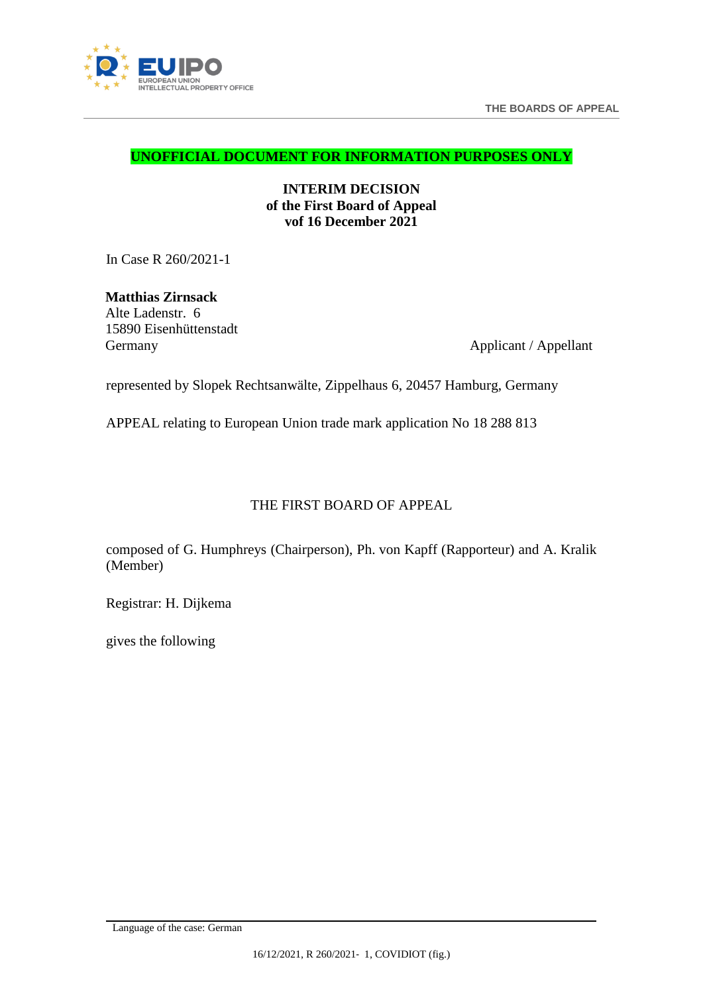



**UNOFFICIAL DOCUMENT FOR INFORMATION PURPOSES ONLY**

**INTERIM DECISION of the First Board of Appeal vof 16 December 2021**

In Case R 260/2021-1

**Matthias Zirnsack** Alte Ladenstr. 6 15890 Eisenhüttenstadt Germany Applicant / Appellant

represented by Slopek Rechtsanwälte, Zippelhaus 6, 20457 Hamburg, Germany

APPEAL relating to European Union trade mark application No 18 288 813

# THE FIRST BOARD OF APPEAL

composed of G. Humphreys (Chairperson), Ph. von Kapff (Rapporteur) and A. Kralik (Member)

Registrar: H. Dijkema

gives the following

<span id="page-0-0"></span>Language of the case: German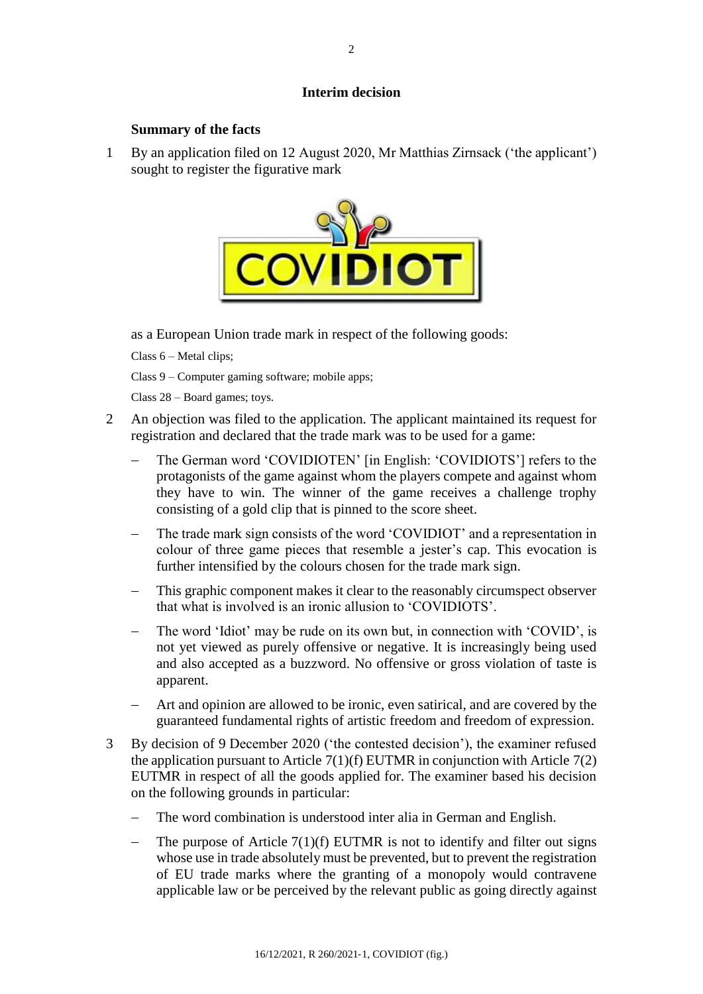### **Interim decision**

### **Summary of the facts**

1 By an application filed on 12 August 2020, Mr Matthias Zirnsack ('the applicant') sought to register the figurative mark



as a European Union trade mark in respect of the following goods:

Class 6 – Metal clips;

Class 9 – Computer gaming software; mobile apps;

Class 28 – Board games; toys.

- 2 An objection was filed to the application. The applicant maintained its request for registration and declared that the trade mark was to be used for a game:
	- The German word 'COVIDIOTEN' [in English: 'COVIDIOTS'] refers to the protagonists of the game against whom the players compete and against whom they have to win. The winner of the game receives a challenge trophy consisting of a gold clip that is pinned to the score sheet.
	- The trade mark sign consists of the word 'COVIDIOT' and a representation in colour of three game pieces that resemble a jester's cap. This evocation is further intensified by the colours chosen for the trade mark sign.
	- This graphic component makes it clear to the reasonably circumspect observer that what is involved is an ironic allusion to 'COVIDIOTS'.
	- The word 'Idiot' may be rude on its own but, in connection with 'COVID', is not yet viewed as purely offensive or negative. It is increasingly being used and also accepted as a buzzword. No offensive or gross violation of taste is apparent.
	- Art and opinion are allowed to be ironic, even satirical, and are covered by the guaranteed fundamental rights of artistic freedom and freedom of expression.
- 3 By decision of 9 December 2020 ('the contested decision'), the examiner refused the application pursuant to Article  $7(1)(f)$  EUTMR in conjunction with Article  $7(2)$ EUTMR in respect of all the goods applied for. The examiner based his decision on the following grounds in particular:
	- The word combination is understood inter alia in German and English.
	- The purpose of Article  $7(1)(f)$  EUTMR is not to identify and filter out signs whose use in trade absolutely must be prevented, but to prevent the registration of EU trade marks where the granting of a monopoly would contravene applicable law or be perceived by the relevant public as going directly against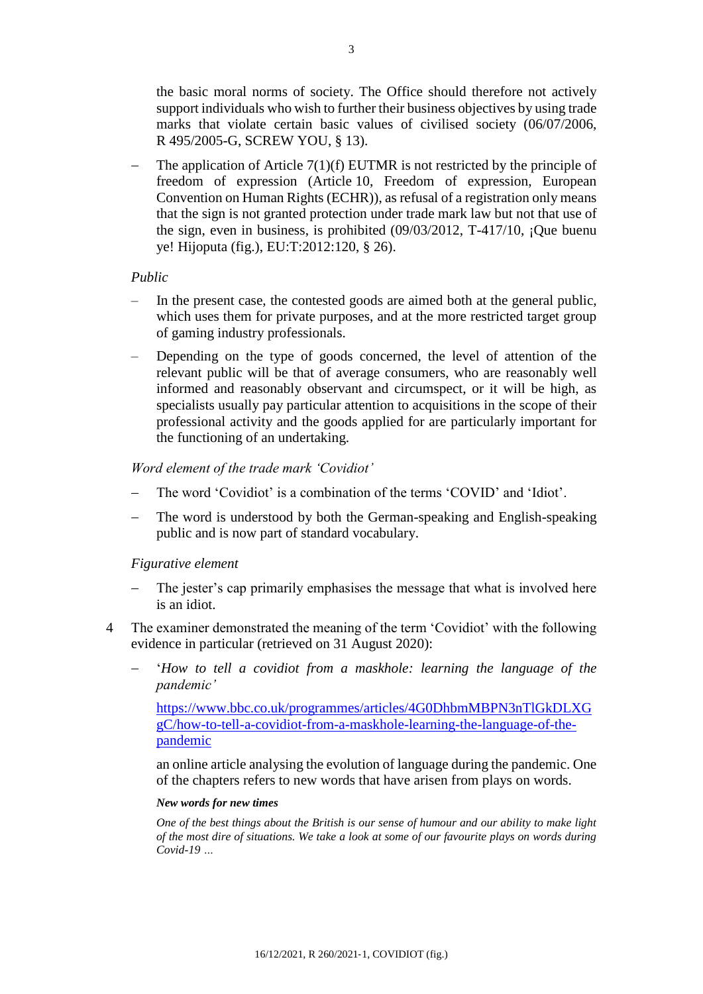the basic moral norms of society. The Office should therefore not actively support individuals who wish to further their business objectives by using trade marks that violate certain basic values of civilised society (06/07/2006, R 495/2005-G, SCREW YOU, § 13).

 The application of Article 7(1)(f) EUTMR is not restricted by the principle of freedom of expression (Article 10, Freedom of expression, European Convention on Human Rights (ECHR)), as refusal of a registration only means that the sign is not granted protection under trade mark law but not that use of the sign, even in business, is prohibited (09/03/2012, T-417/10, ¡Que buenu ye! Hijoputa (fig.), EU:T:2012:120, § 26).

### *Public*

- In the present case, the contested goods are aimed both at the general public, which uses them for private purposes, and at the more restricted target group of gaming industry professionals.
- Depending on the type of goods concerned, the level of attention of the relevant public will be that of average consumers, who are reasonably well informed and reasonably observant and circumspect, or it will be high, as specialists usually pay particular attention to acquisitions in the scope of their professional activity and the goods applied for are particularly important for the functioning of an undertaking.

### *Word element of the trade mark 'Covidiot'*

- The word 'Covidiot' is a combination of the terms 'COVID' and 'Idiot'.
- The word is understood by both the German-speaking and English-speaking public and is now part of standard vocabulary.

### *Figurative element*

- The jester's cap primarily emphasises the message that what is involved here is an idiot.
- 4 The examiner demonstrated the meaning of the term 'Covidiot' with the following evidence in particular (retrieved on 31 August 2020):
	- ʻ*How to tell a covidiot from a maskhole: learning the language of the pandemic'*

[https://www.bbc.co.uk/programmes/articles/4G0DhbmMBPN3nTlGkDLXG](https://www.bbc.co.uk/programmes/articles/4G0DhbmMBPN3nTlGkDLXGgC/how-to-tell-a-covidiot-from-a-maskhole-learning-the-language-of-the-pandemic) [gC/how-to-tell-a-covidiot-from-a-maskhole-learning-the-language-of-the](https://www.bbc.co.uk/programmes/articles/4G0DhbmMBPN3nTlGkDLXGgC/how-to-tell-a-covidiot-from-a-maskhole-learning-the-language-of-the-pandemic)[pandemic](https://www.bbc.co.uk/programmes/articles/4G0DhbmMBPN3nTlGkDLXGgC/how-to-tell-a-covidiot-from-a-maskhole-learning-the-language-of-the-pandemic)

an online article analysing the evolution of language during the pandemic. One of the chapters refers to new words that have arisen from plays on words.

### *New words for new times*

*One of the best things about the British is our sense of humour and our ability to make light of the most dire of situations. We take a look at some of our favourite plays on words during Covid-19 …*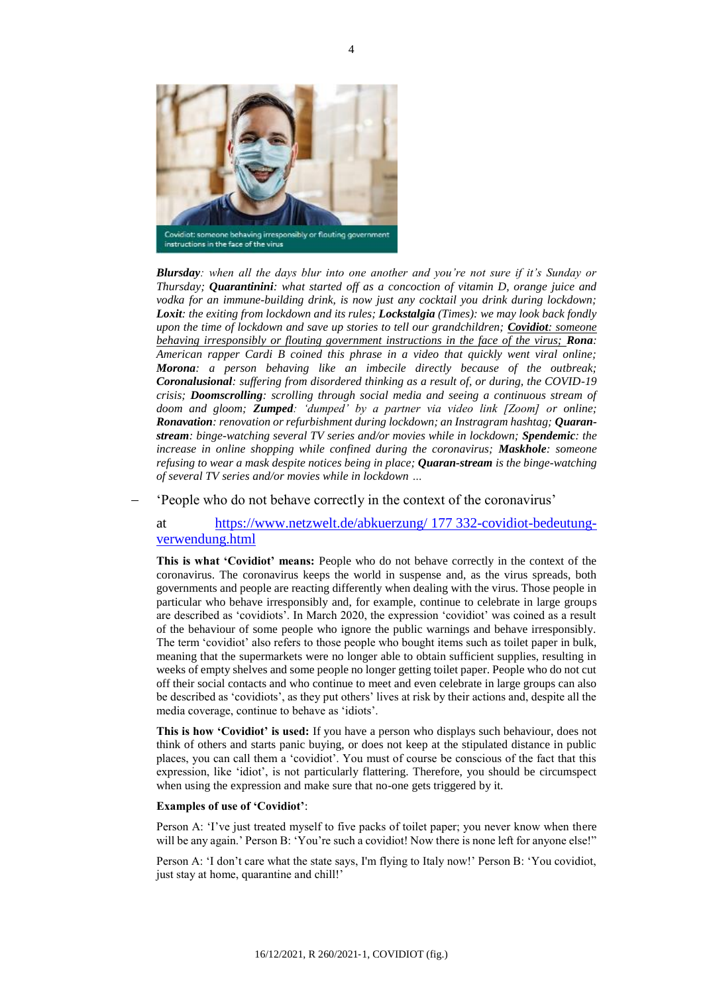

*Blursday: when all the days blur into one another and you're not sure if it's Sunday or Thursday; Quarantinini: what started off as a concoction of vitamin D, orange juice and vodka for an immune-building drink, is now just any cocktail you drink during lockdown; Loxit: the exiting from lockdown and its rules; Lockstalgia (Times): we may look back fondly upon the time of lockdown and save up stories to tell our grandchildren; Covidiot: someone behaving irresponsibly or flouting government instructions in the face of the virus; Rona: American rapper Cardi B coined this phrase in a video that quickly went viral online; Morona: a person behaving like an imbecile directly because of the outbreak; Coronalusional: suffering from disordered thinking as a result of, or during, the COVID-19 crisis; Doomscrolling: scrolling through social media and seeing a continuous stream of doom and gloom; Zumped: 'dumped' by a partner via video link [Zoom] or online; Ronavation: renovation or refurbishment during lockdown; an Instragram hashtag; Quaranstream: binge-watching several TV series and/or movies while in lockdown; Spendemic: the increase in online shopping while confined during the coronavirus; Maskhole: someone refusing to wear a mask despite notices being in place; Quaran-stream is the binge-watching of several TV series and/or movies while in lockdown …*

'People who do not behave correctly in the context of the coronavirus'

at [https://www.netzwelt.de/abkuerzung/](https://www.netzwelt.de/abkuerzung/177332-covidiot-bedeutung-verwendung.html) 177 332-covidiot-bedeutung[verwendung.html](https://www.netzwelt.de/abkuerzung/177332-covidiot-bedeutung-verwendung.html)

**This is what ʻCovidiot' means:** People who do not behave correctly in the context of the coronavirus. The coronavirus keeps the world in suspense and, as the virus spreads, both governments and people are reacting differently when dealing with the virus. Those people in particular who behave irresponsibly and, for example, continue to celebrate in large groups are described as 'covidiots'. In March 2020, the expression 'covidiot' was coined as a result of the behaviour of some people who ignore the public warnings and behave irresponsibly. The term 'covidiot' also refers to those people who bought items such as toilet paper in bulk, meaning that the supermarkets were no longer able to obtain sufficient supplies, resulting in weeks of empty shelves and some people no longer getting toilet paper. People who do not cut off their social contacts and who continue to meet and even celebrate in large groups can also be described as 'covidiots', as they put others' lives at risk by their actions and, despite all the media coverage, continue to behave as 'idiots'.

**This is how ʻCovidiot' is used:** If you have a person who displays such behaviour, does not think of others and starts panic buying, or does not keep at the stipulated distance in public places, you can call them a 'covidiot'. You must of course be conscious of the fact that this expression, like 'idiot', is not particularly flattering. Therefore, you should be circumspect when using the expression and make sure that no-one gets triggered by it.

#### **Examples of use of ʻCovidiot'**:

Person A: 'I've just treated myself to five packs of toilet paper; you never know when there will be any again.' Person B: 'You're such a covidiot! Now there is none left for anyone else!"

Person A: 'I don't care what the state says, I'm flying to Italy now!' Person B: 'You covidiot, just stay at home, quarantine and chill!'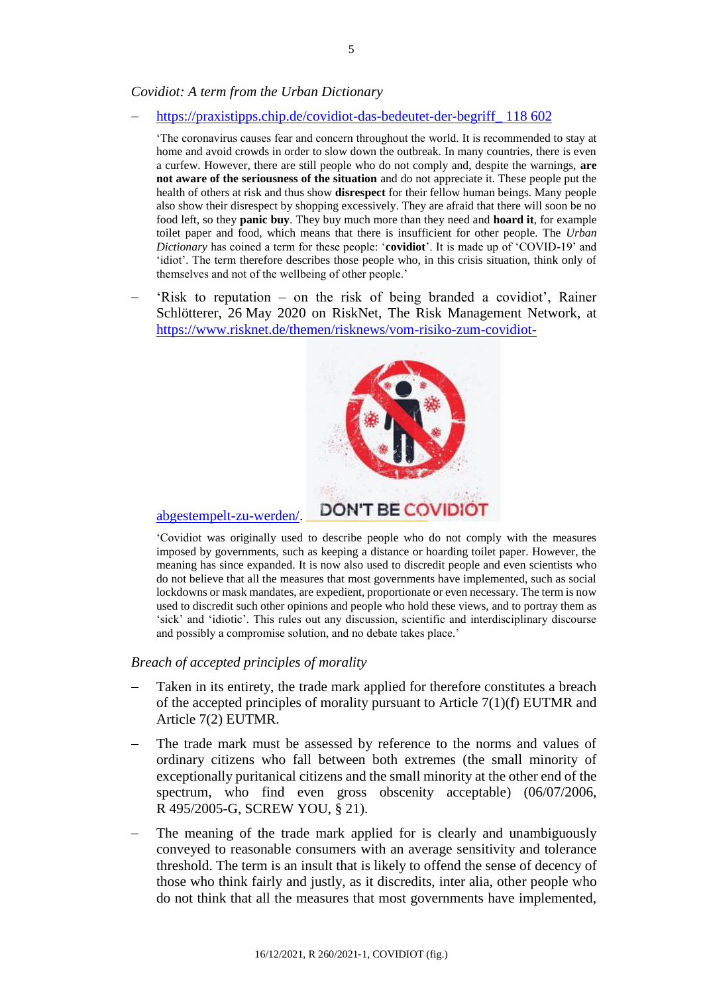### *Covidiot: A term from the Urban Dictionary*

[https://praxistipps.chip.de/covidiot-das-bedeutet-der-begriff\\_](https://praxistipps.chip.de/covidiot-das-bedeutet-der-begriff_118602) 118 602

'The coronavirus causes fear and concern throughout the world. It is recommended to stay at home and avoid crowds in order to slow down the outbreak. In many countries, there is even a curfew. However, there are still people who do not comply and, despite the warnings, **are not aware of the seriousness of the situation** and do not appreciate it. These people put the health of others at risk and thus show **disrespect** for their fellow human beings. Many people also show their disrespect by shopping excessively. They are afraid that there will soon be no food left, so they **panic buy**. They buy much more than they need and **hoard it**, for example toilet paper and food, which means that there is insufficient for other people. The *Urban Dictionary* has coined a term for these people: '**covidiot**'. It is made up of 'COVID-19' and 'idiot'. The term therefore describes those people who, in this crisis situation, think only of themselves and not of the wellbeing of other people.'

 'Risk to reputation – on the risk of being branded a covidiot', Rainer Schlötterer, 26 May 2020 on RiskNet, The Risk Management Network, at [https://www.risknet.de/themen/risknews/vom-risiko-zum-covidiot-](https://www.risknet.de/themen/risknews/vom-risiko-zum-covidiot-abgestempelt-zu-werden/)



### [abgestempelt-zu-werden/.](https://www.risknet.de/themen/risknews/vom-risiko-zum-covidiot-abgestempelt-zu-werden/)

'Covidiot was originally used to describe people who do not comply with the measures imposed by governments, such as keeping a distance or hoarding toilet paper. However, the meaning has since expanded. It is now also used to discredit people and even scientists who do not believe that all the measures that most governments have implemented, such as social lockdowns or mask mandates, are expedient, proportionate or even necessary. The term is now used to discredit such other opinions and people who hold these views, and to portray them as 'sick' and 'idiotic'. This rules out any discussion, scientific and interdisciplinary discourse and possibly a compromise solution, and no debate takes place.'

### *Breach of accepted principles of morality*

- Taken in its entirety, the trade mark applied for therefore constitutes a breach of the accepted principles of morality pursuant to Article  $7(1)(f)$  EUTMR and Article 7(2) EUTMR.
- The trade mark must be assessed by reference to the norms and values of ordinary citizens who fall between both extremes (the small minority of exceptionally puritanical citizens and the small minority at the other end of the spectrum, who find even gross obscenity acceptable) (06/07/2006, R 495/2005-G, SCREW YOU, § 21).
- The meaning of the trade mark applied for is clearly and unambiguously conveyed to reasonable consumers with an average sensitivity and tolerance threshold. The term is an insult that is likely to offend the sense of decency of those who think fairly and justly, as it discredits, inter alia, other people who do not think that all the measures that most governments have implemented,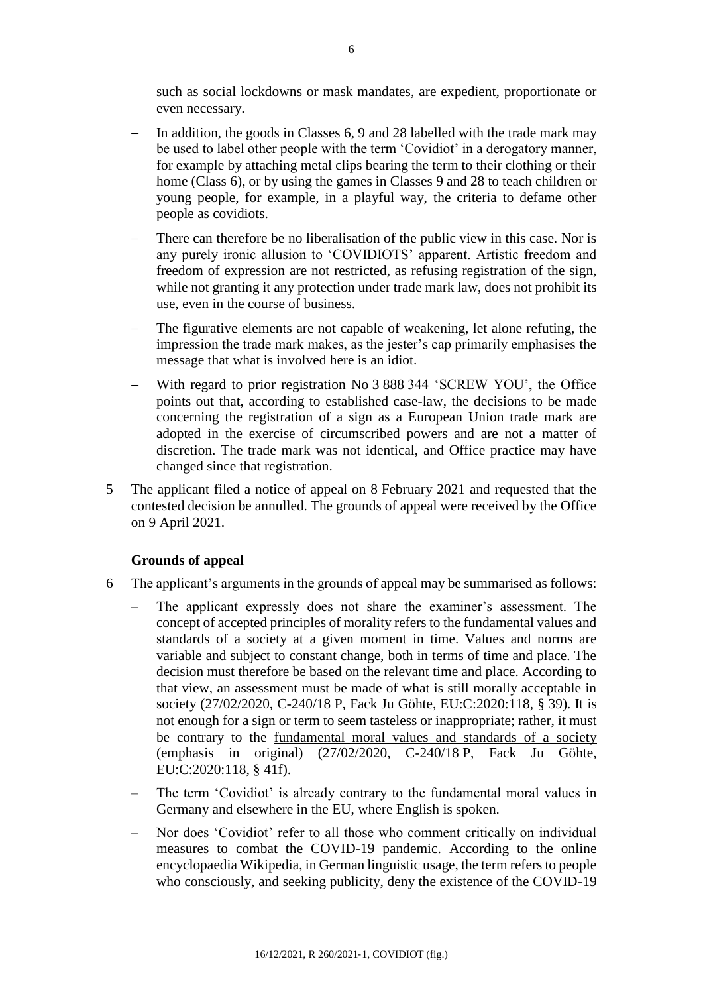such as social lockdowns or mask mandates, are expedient, proportionate or even necessary.

- In addition, the goods in Classes 6, 9 and 28 labelled with the trade mark may be used to label other people with the term 'Covidiot' in a derogatory manner, for example by attaching metal clips bearing the term to their clothing or their home (Class 6), or by using the games in Classes 9 and 28 to teach children or young people, for example, in a playful way, the criteria to defame other people as covidiots.
- There can therefore be no liberalisation of the public view in this case. Nor is any purely ironic allusion to 'COVIDIOTS' apparent. Artistic freedom and freedom of expression are not restricted, as refusing registration of the sign, while not granting it any protection under trade mark law, does not prohibit its use, even in the course of business.
- The figurative elements are not capable of weakening, let alone refuting, the impression the trade mark makes, as the jester's cap primarily emphasises the message that what is involved here is an idiot.
- With regard to prior registration No 3 888 344 'SCREW YOU', the Office points out that, according to established case-law, the decisions to be made concerning the registration of a sign as a European Union trade mark are adopted in the exercise of circumscribed powers and are not a matter of discretion. The trade mark was not identical, and Office practice may have changed since that registration.
- 5 The applicant filed a notice of appeal on 8 February 2021 and requested that the contested decision be annulled. The grounds of appeal were received by the Office on 9 April 2021.

### **Grounds of appeal**

- 6 The applicant's arguments in the grounds of appeal may be summarised as follows:
	- The applicant expressly does not share the examiner's assessment. The concept of accepted principles of morality refers to the fundamental values and standards of a society at a given moment in time. Values and norms are variable and subject to constant change, both in terms of time and place. The decision must therefore be based on the relevant time and place. According to that view, an assessment must be made of what is still morally acceptable in society (27/02/2020, C-240/18 P, Fack Ju Göhte, EU:C:2020:118, § 39). It is not enough for a sign or term to seem tasteless or inappropriate; rather, it must be contrary to the <u>fundamental moral values</u> and standards of a society (emphasis in original) (27/02/2020, C-240/18 P, Fack Ju Göhte, EU:C:2020:118, § 41f).
	- The term 'Covidiot' is already contrary to the fundamental moral values in Germany and elsewhere in the EU, where English is spoken.
	- Nor does 'Covidiot' refer to all those who comment critically on individual measures to combat the COVID-19 pandemic. According to the online encyclopaedia Wikipedia, in German linguistic usage, the term refers to people who consciously, and seeking publicity, deny the existence of the COVID-19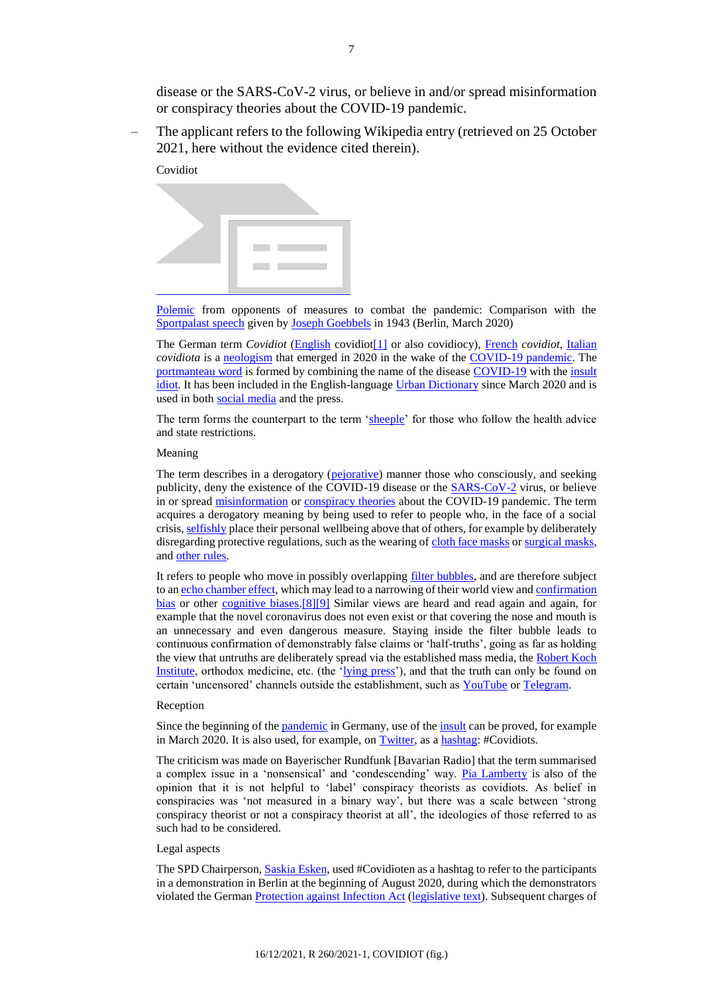disease or the SARS-CoV-2 virus, or believe in and/or spread misinformation or conspiracy theories about the COVID-19 pandemic.

– The applicant refers to the following Wikipedia entry (retrieved on 25 October 2021, here without the evidence cited therein).

Covidiot



[Polemic](https://de.wikipedia.org/wiki/Polemik) from opponents of measures to combat the pandemic: Comparison with the [Sportpalast speech](https://de.wikipedia.org/wiki/Sportpalastrede) given by [Joseph Goebbels](https://de.wikipedia.org/wiki/Joseph_Goebbels) in 1943 (Berlin, March 2020)

The German term *Covidiot* [\(English](https://de.wikipedia.org/wiki/Englische_Sprache) covidio[t\[1\]](https://de.wikipedia.org/wiki/Covidiot#cite_note-1) or also covidiocy), [French](https://de.wikipedia.org/wiki/Franz%C3%B6sische_Sprache) *covidiot*, [Italian](https://de.wikipedia.org/wiki/Italienische_Sprache) *covidiota* is a [neologism](https://de.wikipedia.org/wiki/Covid-19-Pandemie) that emerged in 2020 in the wake of the [COVID-19 pandemic.](https://de.wikipedia.org/wiki/Neologismus) The [portmanteau word](https://de.wikipedia.org/wiki/Kofferwort) is formed by combining the name of the disease [COVID-19](https://de.wikipedia.org/wiki/COVID-19) with the [insult](https://de.wikipedia.org/wiki/Schimpfwort) [idiot.](https://de.wikipedia.org/wiki/Idiot) It has been included in the English-language [Urban Dictionary](https://de.wikipedia.org/wiki/Urban_Dictionary) since March 2020 and is used in both [social media](https://de.wikipedia.org/wiki/Soziales_Netzwerk_(Internet)) and the press.

The term forms the counterpart to the term ['sheeple'](https://de.wikipedia.org/wiki/Schlafschaf) for those who follow the health advice and state restrictions.

#### Meaning

The term describes in a derogatory [\(pejorative\)](https://de.wikipedia.org/wiki/Pejorativ) manner those who consciously, and seeking publicity, deny the existence of the COVID-19 disease or the [SARS-CoV-2](https://de.wikipedia.org/wiki/SARS-CoV-2) virus, or believe in or spread [misinformation](https://de.wikipedia.org/wiki/Falschinformationen_zur_COVID-19-Pandemie) o[r conspiracy theories](https://de.wikipedia.org/wiki/Verschw%C3%B6rungstheorie) about the COVID-19 pandemic. The term acquires a derogatory meaning by being used to refer to people who, in the face of a social crisis, [selfishly](https://de.wikipedia.org/wiki/Egoismus) place their personal wellbeing above that of others, for example by deliberately disregarding protective regulations, such as the wearing o[f cloth face masks](https://de.wikipedia.org/wiki/Alltagsmaske) o[r surgical masks,](https://de.wikipedia.org/wiki/Mund-Nasen-Schutz) and [other rules.](https://de.wikipedia.org/wiki/AHA-Formel)

It refers to people who move in possibly overlapping [filter bubbles,](https://de.wikipedia.org/wiki/Informationsblase) and are therefore subject to a[n echo chamber effect,](https://de.wikipedia.org/wiki/Echokammer-Effekt) which may lead to a narrowing of their world view and [confirmation](https://de.wikipedia.org/wiki/Best%C3%A4tigungsfehler)  [bias](https://de.wikipedia.org/wiki/Best%C3%A4tigungsfehler) or other [cognitive biases.](https://de.wikipedia.org/wiki/Kognitive_Verzerrung)[\[8\]\[9\]](https://de.wikipedia.org/wiki/Covidiot#cite_note-nachdenk-8) Similar views are heard and read again and again, for example that the novel coronavirus does not even exist or that covering the nose and mouth is an unnecessary and even dangerous measure. Staying inside the filter bubble leads to continuous confirmation of demonstrably false claims or 'half-truths', going as far as holding the view that untruths are deliberately spread via the established mass media, the Robert Koch [Institute,](https://de.wikipedia.org/wiki/Robert_Koch-Institut) orthodox medicine, etc. (the ['lying press'](https://de.wikipedia.org/wiki/L%C3%BCgenpresse#Gegenwärtige_Verwendung_(chronologisch))), and that the truth can only be found on certain 'uncensored' channels outside the establishment, such as [YouTube](https://de.wikipedia.org/wiki/YouTube) or [Telegram.](https://de.wikipedia.org/wiki/Telegram)

#### Reception

Since the beginning of the <u>pandemic</u> in Germany, use of the <u>insult</u> can be proved, for example in March 2020. It is also used, for example, on [Twitter,](https://de.wikipedia.org/wiki/Twitter) as [a hashtag:](https://de.wikipedia.org/wiki/Hashtag) #Covidiots.

The criticism was made on Bayerischer Rundfunk [Bavarian Radio] that the term summarised a complex issue in a 'nonsensical' and ʻcondescending' way. [Pia Lamberty](https://de.wikipedia.org/wiki/Pia_Lamberty) is also of the opinion that it is not helpful to 'label' conspiracy theorists as covidiots. As belief in conspiracies was ʻnot measured in a binary way', but there was a scale between 'strong conspiracy theorist or not a conspiracy theorist at all', the ideologies of those referred to as such had to be considered.

#### Legal aspects

The SPD Chairperson, **Saskia Esken**, used #Covidioten as a hashtag to refer to the participants in a demonstration in Berlin at the beginning of August 2020, during which the demonstrators violated the German [Protection against Infection Act](https://de.wikipedia.org/wiki/Infektionsschutzgesetz) [\(legislative text\)](https://www.gesetze-im-internet.de/ifsg/index.html). Subsequent charges of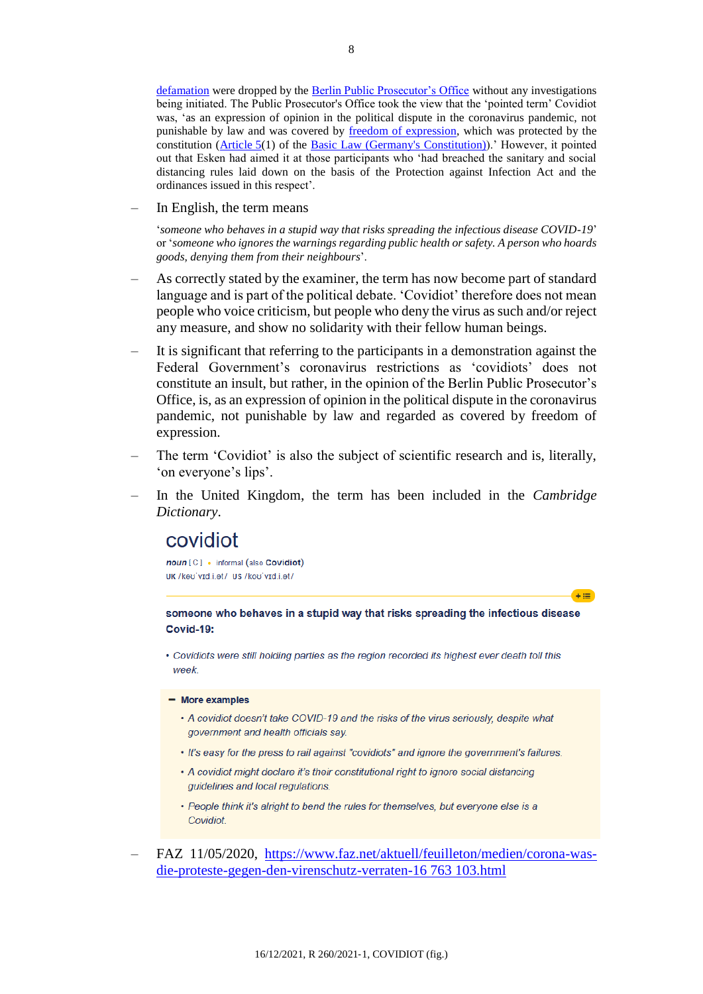[defamation](https://de.wikipedia.org/wiki/Beleidigung_(Deutschland)) were dropped by the [Berlin Public Prosecutor's Office](https://de.wikipedia.org/wiki/Staatsanwaltschaft_Berlin) without any investigations being initiated. The Public Prosecutor's Office took the view that the 'pointed term' Covidiot was, 'as an expression of opinion in the political dispute in the coronavirus pandemic, not punishable by law and was covered by [freedom of expression,](https://de.wikipedia.org/wiki/Meinungsfreiheit) which was protected by the constitution ( $\Delta$ rticle  $5(1)$  of the Basic [Law \(Germany's Constitution\)\)](https://de.wikipedia.org/wiki/Grundgesetz_f%C3%BCr_die_Bundesrepublik_Deutschland).' However, it pointed out that Esken had aimed it at those participants who 'had breached the sanitary and social distancing rules laid down on the basis of the Protection against Infection Act and the ordinances issued in this respect'.

In English, the term means

'*someone who behaves in a stupid way that risks spreading the infectious disease COVID-19*' or '*someone who ignores the warnings regarding public health or safety. A person who hoards goods, denying them from their neighbours*'.

- As correctly stated by the examiner, the term has now become part of standard language and is part of the political debate. 'Covidiot' therefore does not mean people who voice criticism, but people who deny the virus as such and/or reject any measure, and show no solidarity with their fellow human beings.
- It is significant that referring to the participants in a demonstration against the Federal Government's coronavirus restrictions as 'covidiots' does not constitute an insult, but rather, in the opinion of the Berlin Public Prosecutor's Office, is, as an expression of opinion in the political dispute in the coronavirus pandemic, not punishable by law and regarded as covered by freedom of expression.
- The term 'Covidiot' is also the subject of scientific research and is, literally, 'on everyone's lips'.
- In the United Kingdom, the term has been included in the *Cambridge Dictionary*.

# covidiot

noun [C] • informal (also Covidiot) UK /kao'vid.i.et/ US /koo'vid.i.et/

someone who behaves in a stupid way that risks spreading the infectious disease **Covid-19:** 

 $+ 1 = 1$ 

• Covidiots were still holding parties as the region recorded its highest ever death toll this week

#### - More examples

- A covidiot doesn't take COVID-19 and the risks of the virus seriously, despite what government and health officials say.
- . It's easy for the press to rail against "covidiots" and ignore the government's failures.
- A covidiot might declare it's their constitutional right to ignore social distancing guidelines and local regulations.
- People think it's alright to bend the rules for themselves, but everyone else is a Covidiot.
- FAZ 11/05/2020, [https://www.faz.net/aktuell/feuilleton/medien/corona-was](https://www.faz.net/aktuell/feuilleton/medien/corona-was-die-proteste-gegen-den-virenschutz-verraten-16763103.html)[die-proteste-gegen-den-virenschutz-verraten-16](https://www.faz.net/aktuell/feuilleton/medien/corona-was-die-proteste-gegen-den-virenschutz-verraten-16763103.html) 763 103.html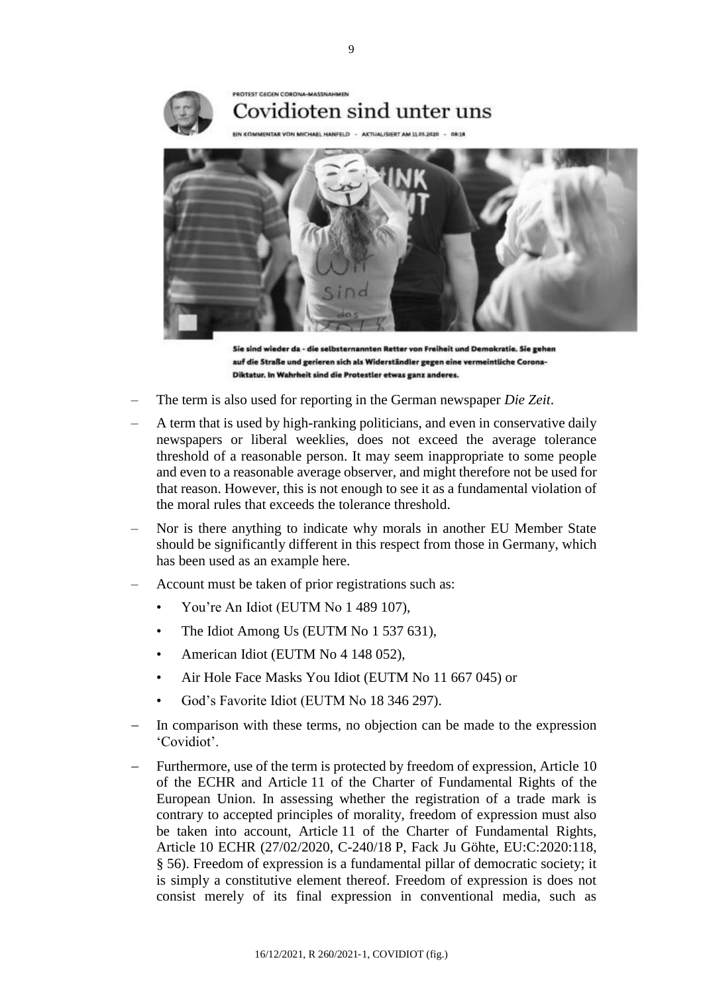

Sie sind wieder da - die selbsternannten Retter von Freiheit und Demokratie. Sie gehen auf die Straße und gerieren sich als Widerständler gegen eine vermeintliche Corona-Diktatur, In Wahrheit sind die Protestler etwas ganz anderes.

- The term is also used for reporting in the German newspaper *Die Zeit*.
- A term that is used by high-ranking politicians, and even in conservative daily newspapers or liberal weeklies, does not exceed the average tolerance threshold of a reasonable person. It may seem inappropriate to some people and even to a reasonable average observer, and might therefore not be used for that reason. However, this is not enough to see it as a fundamental violation of the moral rules that exceeds the tolerance threshold.
- Nor is there anything to indicate why morals in another EU Member State should be significantly different in this respect from those in Germany, which has been used as an example here.
- Account must be taken of prior registrations such as:
	- You're An Idiot (EUTM No 1 489 107),
	- The Idiot Among Us (EUTM No 1 537 631),
	- American Idiot (EUTM No 4 148 052),
	- Air Hole Face Masks You Idiot (EUTM No 11 667 045) or
	- God's Favorite Idiot (EUTM No 18 346 297).
- In comparison with these terms, no objection can be made to the expression 'Covidiot'.
- Furthermore, use of the term is protected by freedom of expression, Article 10 of the ECHR and Article 11 of the Charter of Fundamental Rights of the European Union. In assessing whether the registration of a trade mark is contrary to accepted principles of morality, freedom of expression must also be taken into account, Article 11 of the Charter of Fundamental Rights, Article 10 ECHR (27/02/2020, C-240/18 P, Fack Ju Göhte, EU:C:2020:118, § 56). Freedom of expression is a fundamental pillar of democratic society; it is simply a constitutive element thereof. Freedom of expression is does not consist merely of its final expression in conventional media, such as

9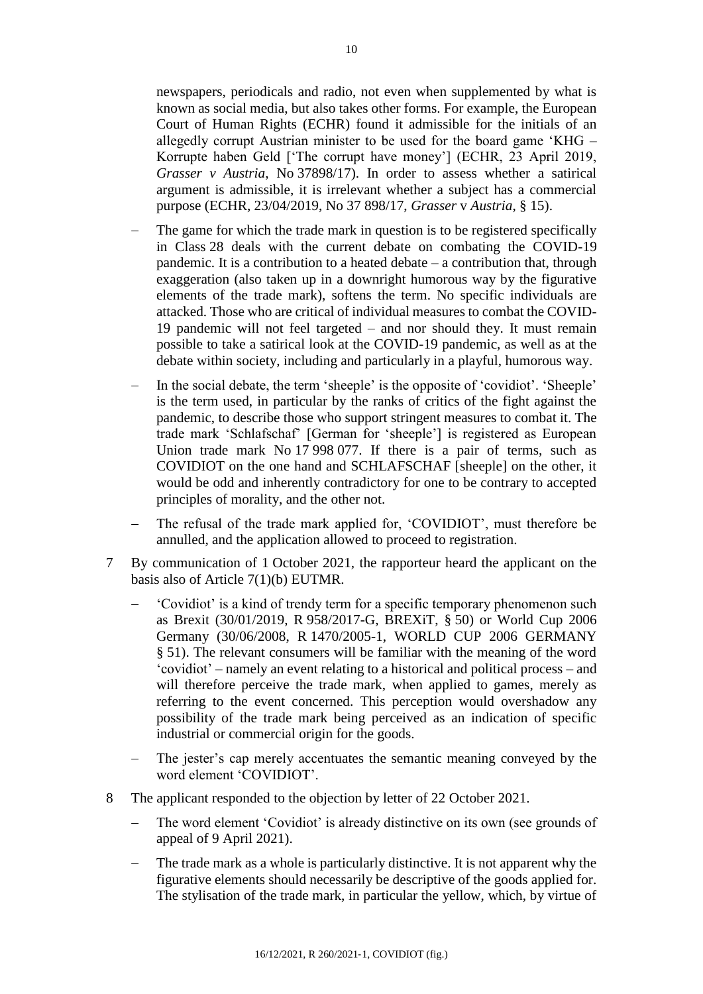newspapers, periodicals and radio, not even when supplemented by what is known as social media, but also takes other forms. For example, the European Court of Human Rights (ECHR) found it admissible for the initials of an allegedly corrupt Austrian minister to be used for the board game 'KHG – Korrupte haben Geld [ʻThe corrupt have money'] (ECHR, 23 April 2019, *Grasser v Austria*, No 37898/17). In order to assess whether a satirical argument is admissible, it is irrelevant whether a subject has a commercial purpose (ECHR, 23/04/2019, No 37 898/17, *Grasser* v *Austria*, § 15).

- The game for which the trade mark in question is to be registered specifically in Class 28 deals with the current debate on combating the COVID-19 pandemic. It is a contribution to a heated debate – a contribution that, through exaggeration (also taken up in a downright humorous way by the figurative elements of the trade mark), softens the term. No specific individuals are attacked. Those who are critical of individual measures to combat the COVID-19 pandemic will not feel targeted – and nor should they. It must remain possible to take a satirical look at the COVID-19 pandemic, as well as at the debate within society, including and particularly in a playful, humorous way.
- In the social debate, the term 'sheeple' is the opposite of 'covidiot'. ʻSheeple' is the term used, in particular by the ranks of critics of the fight against the pandemic, to describe those who support stringent measures to combat it. The trade mark 'Schlafschaf' [German for ʻsheeple'] is registered as European Union trade mark No 17 998 077. If there is a pair of terms, such as COVIDIOT on the one hand and SCHLAFSCHAF [sheeple] on the other, it would be odd and inherently contradictory for one to be contrary to accepted principles of morality, and the other not.
- The refusal of the trade mark applied for, 'COVIDIOT', must therefore be annulled, and the application allowed to proceed to registration.
- 7 By communication of 1 October 2021, the rapporteur heard the applicant on the basis also of Article 7(1)(b) EUTMR.
	- 'Covidiot' is a kind of trendy term for a specific temporary phenomenon such as Brexit (30/01/2019, R 958/2017-G, BREXiT, § 50) or World Cup 2006 Germany (30/06/2008, R 1470/2005-1, WORLD CUP 2006 GERMANY § 51). The relevant consumers will be familiar with the meaning of the word 'covidiot' – namely an event relating to a historical and political process – and will therefore perceive the trade mark, when applied to games, merely as referring to the event concerned. This perception would overshadow any possibility of the trade mark being perceived as an indication of specific industrial or commercial origin for the goods.
	- The jester's cap merely accentuates the semantic meaning conveyed by the word element 'COVIDIOT'.
- 8 The applicant responded to the objection by letter of 22 October 2021.
	- The word element 'Covidiot' is already distinctive on its own (see grounds of appeal of 9 April 2021).
	- The trade mark as a whole is particularly distinctive. It is not apparent why the figurative elements should necessarily be descriptive of the goods applied for. The stylisation of the trade mark, in particular the yellow, which, by virtue of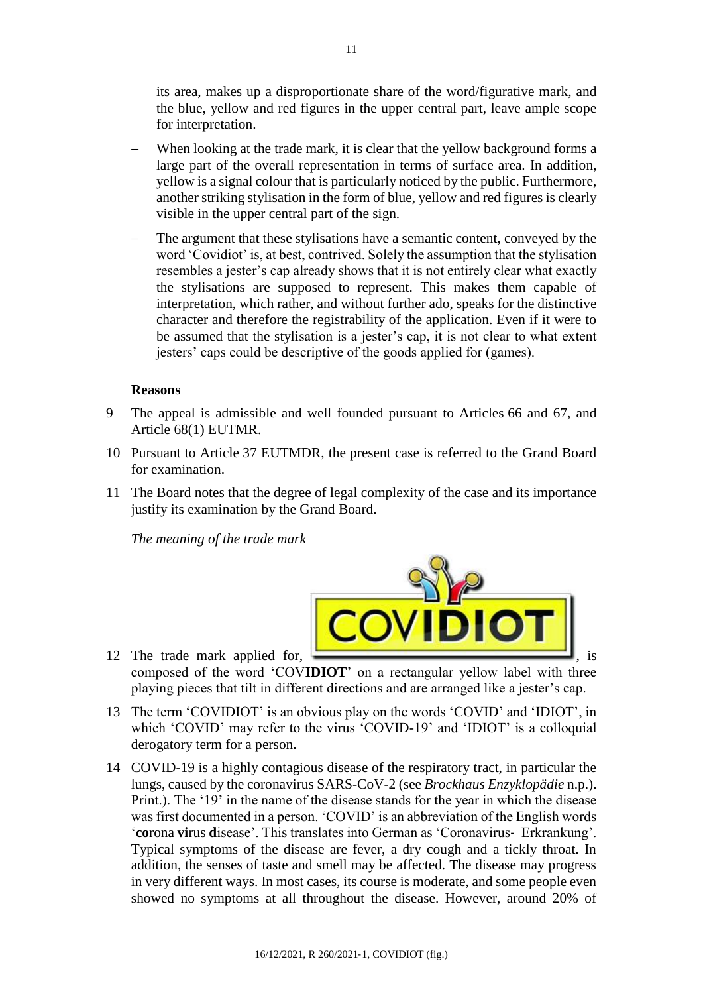its area, makes up a disproportionate share of the word/figurative mark, and the blue, yellow and red figures in the upper central part, leave ample scope for interpretation.

- When looking at the trade mark, it is clear that the yellow background forms a large part of the overall representation in terms of surface area. In addition, yellow is a signal colour that is particularly noticed by the public. Furthermore, another striking stylisation in the form of blue, yellow and red figures is clearly visible in the upper central part of the sign.
- The argument that these stylisations have a semantic content, conveyed by the word 'Covidiot' is, at best, contrived. Solely the assumption that the stylisation resembles a jester's cap already shows that it is not entirely clear what exactly the stylisations are supposed to represent. This makes them capable of interpretation, which rather, and without further ado, speaks for the distinctive character and therefore the registrability of the application. Even if it were to be assumed that the stylisation is a jester's cap, it is not clear to what extent jesters' caps could be descriptive of the goods applied for (games).

### **Reasons**

- 9 The appeal is admissible and well founded pursuant to Articles 66 and 67, and Article 68(1) EUTMR.
- 10 Pursuant to Article 37 EUTMDR, the present case is referred to the Grand Board for examination.
- 11 The Board notes that the degree of legal complexity of the case and its importance justify its examination by the Grand Board.

*The meaning of the trade mark*



- 12 The trade mark applied for, composed of the word 'COV**IDIOT**' on a rectangular yellow label with three playing pieces that tilt in different directions and are arranged like a jester's cap.
- 13 The term 'COVIDIOT' is an obvious play on the words 'COVID' and 'IDIOT', in which 'COVID' may refer to the virus 'COVID-19' and 'IDIOT' is a colloquial derogatory term for a person.
- 14 COVID-19 is a highly contagious disease of the respiratory tract, in particular the lungs, caused by the coronavirus SARS-CoV-2 (see *Brockhaus Enzyklopädie* n.p.). Print.). The '19' in the name of the disease stands for the year in which the disease was first documented in a person. 'COVID' is an abbreviation of the English words '**co**rona **vi**rus **d**isease'. This translates into German as 'Coronavirus‑ Erkrankung'. Typical symptoms of the disease are fever, a dry cough and a tickly throat. In addition, the senses of taste and smell may be affected. The disease may progress in very different ways. In most cases, its course is moderate, and some people even showed no symptoms at all throughout the disease. However, around 20% of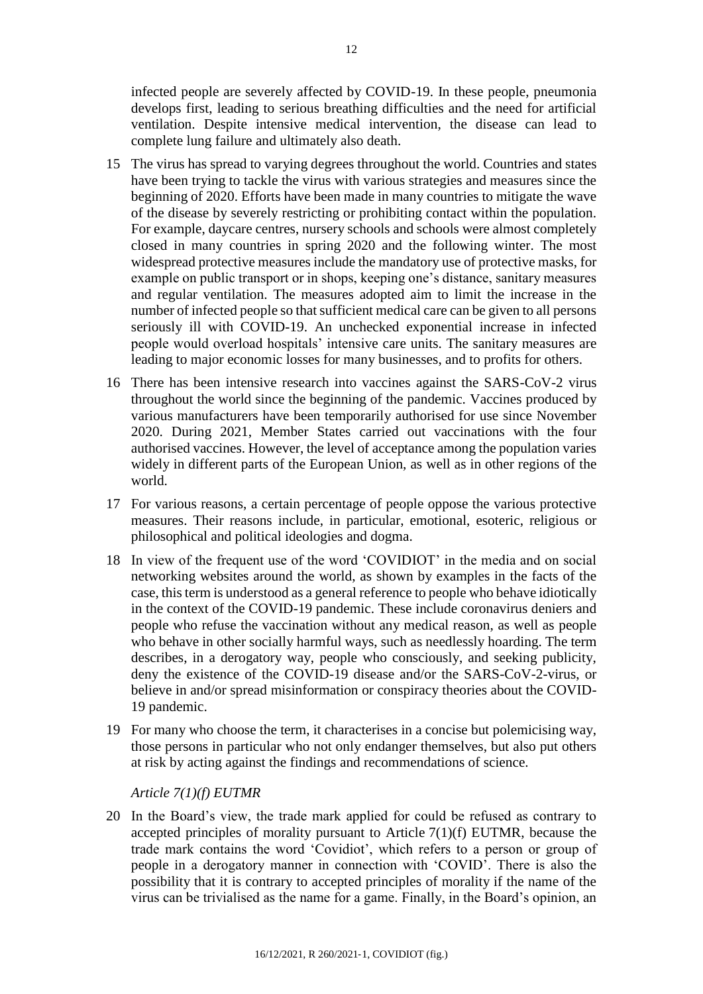infected people are severely affected by COVID-19. In these people, pneumonia develops first, leading to serious breathing difficulties and the need for artificial ventilation. Despite intensive medical intervention, the disease can lead to complete lung failure and ultimately also death.

- 15 The virus has spread to varying degrees throughout the world. Countries and states have been trying to tackle the virus with various strategies and measures since the beginning of 2020. Efforts have been made in many countries to mitigate the wave of the disease by severely restricting or prohibiting contact within the population. For example, daycare centres, nursery schools and schools were almost completely closed in many countries in spring 2020 and the following winter. The most widespread protective measures include the mandatory use of protective masks, for example on public transport or in shops, keeping one's distance, sanitary measures and regular ventilation. The measures adopted aim to limit the increase in the number of infected people so that sufficient medical care can be given to all persons seriously ill with COVID-19. An unchecked exponential increase in infected people would overload hospitals' intensive care units. The sanitary measures are leading to major economic losses for many businesses, and to profits for others.
- 16 There has been intensive research into vaccines against the SARS-CoV-2 virus throughout the world since the beginning of the pandemic. Vaccines produced by various manufacturers have been temporarily authorised for use since November 2020. During 2021, Member States carried out vaccinations with the four authorised vaccines. However, the level of acceptance among the population varies widely in different parts of the European Union, as well as in other regions of the world.
- 17 For various reasons, a certain percentage of people oppose the various protective measures. Their reasons include, in particular, emotional, esoteric, religious or philosophical and political ideologies and dogma.
- 18 In view of the frequent use of the word 'COVIDIOT' in the media and on social networking websites around the world, as shown by examples in the facts of the case, this term is understood as a general reference to people who behave idiotically in the context of the COVID-19 pandemic. These include coronavirus deniers and people who refuse the vaccination without any medical reason, as well as people who behave in other socially harmful ways, such as needlessly hoarding. The term describes, in a derogatory way, people who consciously, and seeking publicity, deny the existence of the COVID-19 disease and/or the SARS-CoV-2-virus, or believe in and/or spread misinformation or conspiracy theories about the COVID-19 pandemic.
- 19 For many who choose the term, it characterises in a concise but polemicising way, those persons in particular who not only endanger themselves, but also put others at risk by acting against the findings and recommendations of science.

*Article 7(1)(f) EUTMR*

20 In the Board's view, the trade mark applied for could be refused as contrary to accepted principles of morality pursuant to Article 7(1)(f) EUTMR, because the trade mark contains the word 'Covidiot', which refers to a person or group of people in a derogatory manner in connection with 'COVID'. There is also the possibility that it is contrary to accepted principles of morality if the name of the virus can be trivialised as the name for a game. Finally, in the Board's opinion, an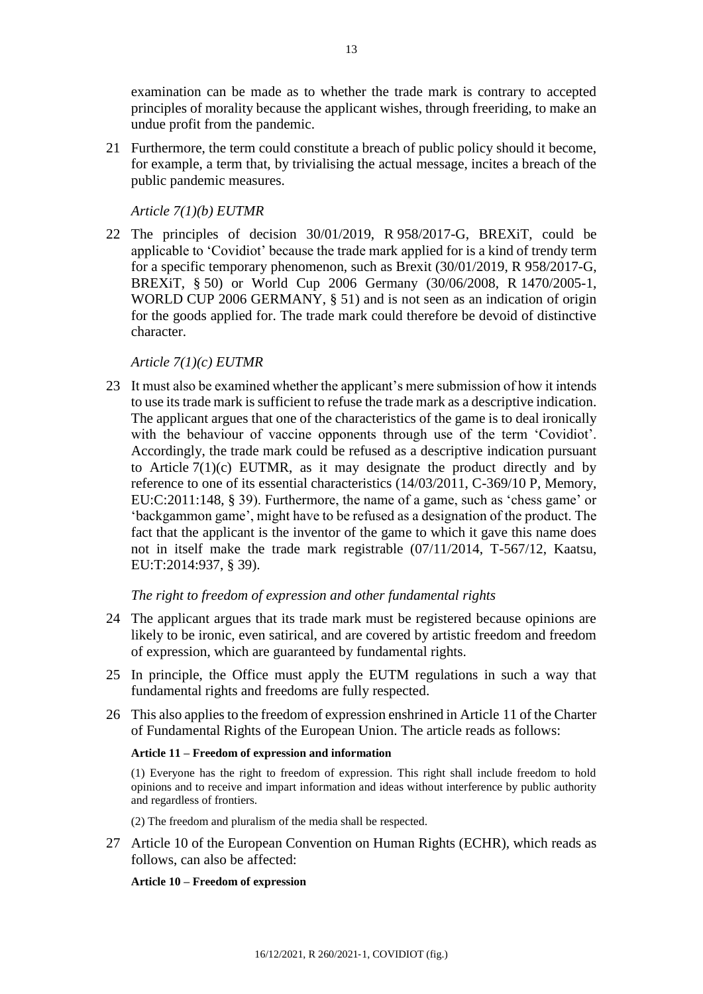examination can be made as to whether the trade mark is contrary to accepted principles of morality because the applicant wishes, through freeriding, to make an undue profit from the pandemic.

21 Furthermore, the term could constitute a breach of public policy should it become, for example, a term that, by trivialising the actual message, incites a breach of the public pandemic measures.

*Article 7(1)(b) EUTMR*

22 The principles of decision 30/01/2019, R 958/2017-G, BREXiT, could be applicable to 'Covidiot' because the trade mark applied for is a kind of trendy term for a specific temporary phenomenon, such as Brexit (30/01/2019, R 958/2017-G, BREXiT, § 50) or World Cup 2006 Germany (30/06/2008, R 1470/2005-1, WORLD CUP 2006 GERMANY, § 51) and is not seen as an indication of origin for the goods applied for. The trade mark could therefore be devoid of distinctive character.

### *Article 7(1)(c) EUTMR*

23 It must also be examined whether the applicant's mere submission of how it intends to use its trade mark is sufficient to refuse the trade mark as a descriptive indication. The applicant argues that one of the characteristics of the game is to deal ironically with the behaviour of vaccine opponents through use of the term 'Covidiot'. Accordingly, the trade mark could be refused as a descriptive indication pursuant to Article  $7(1)(c)$  EUTMR, as it may designate the product directly and by reference to one of its essential characteristics (14/03/2011, C-369/10 P, Memory, EU:C:2011:148, § 39). Furthermore, the name of a game, such as 'chess game' or 'backgammon game', might have to be refused as a designation of the product. The fact that the applicant is the inventor of the game to which it gave this name does not in itself make the trade mark registrable (07/11/2014, T-567/12, Kaatsu, EU:T:2014:937, § 39).

### *The right to freedom of expression and other fundamental rights*

- 24 The applicant argues that its trade mark must be registered because opinions are likely to be ironic, even satirical, and are covered by artistic freedom and freedom of expression, which are guaranteed by fundamental rights.
- 25 In principle, the Office must apply the EUTM regulations in such a way that fundamental rights and freedoms are fully respected.
- 26 This also applies to the freedom of expression enshrined in Article 11 of the Charter of Fundamental Rights of the European Union. The article reads as follows:

### **Article 11 – Freedom of expression and information**

(1) Everyone has the right to freedom of expression. This right shall include freedom to hold opinions and to receive and impart information and ideas without interference by public authority and regardless of frontiers.

(2) The freedom and pluralism of the media shall be respected.

27 Article 10 of the European Convention on Human Rights (ECHR), which reads as follows, can also be affected:

### **Article 10 – Freedom of expression**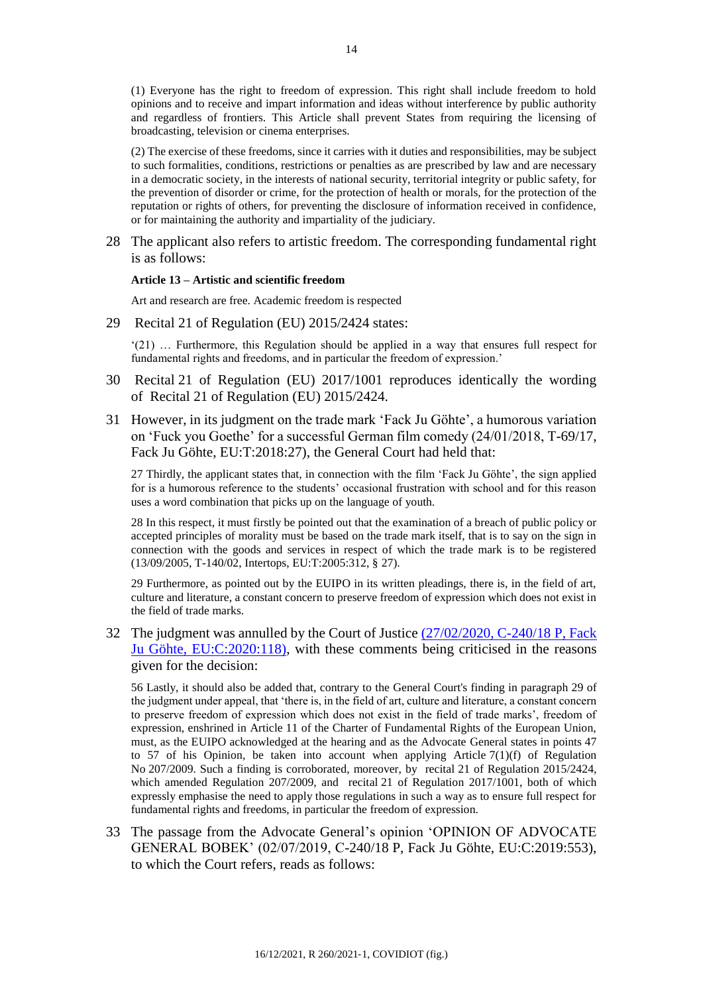(1) Everyone has the right to freedom of expression. This right shall include freedom to hold opinions and to receive and impart information and ideas without interference by public authority and regardless of frontiers. This Article shall prevent States from requiring the licensing of broadcasting, television or cinema enterprises.

(2) The exercise of these freedoms, since it carries with it duties and responsibilities, may be subject to such formalities, conditions, restrictions or penalties as are prescribed by law and are necessary in a democratic society, in the interests of national security, territorial integrity or public safety, for the prevention of disorder or crime, for the protection of health or morals, for the protection of the reputation or rights of others, for preventing the disclosure of information received in confidence, or for maintaining the authority and impartiality of the judiciary.

28 The applicant also refers to artistic freedom. The corresponding fundamental right is as follows:

#### **Article 13 – Artistic and scientific freedom**

Art and research are free. Academic freedom is respected

29 Recital 21 of Regulation (EU) 2015/2424 states:

'(21) … Furthermore, this Regulation should be applied in a way that ensures full respect for fundamental rights and freedoms, and in particular the freedom of expression.'

- 30 Recital 21 of Regulation (EU) 2017/1001 reproduces identically the wording of Recital 21 of Regulation (EU) 2015/2424.
- 31 However, in its judgment on the trade mark 'Fack Ju Göhte', a humorous variation on 'Fuck you Goethe' for a successful German film comedy (24/01/2018, T-69/17, Fack Ju Göhte, EU:T:2018:27), the General Court had held that:

27 Thirdly, the applicant states that, in connection with the film 'Fack Ju Göhte', the sign applied for is a humorous reference to the students' occasional frustration with school and for this reason uses a word combination that picks up on the language of youth.

28 In this respect, it must firstly be pointed out that the examination of a breach of public policy or accepted principles of morality must be based on the trade mark itself, that is to say on the sign in connection with the goods and services in respect of which the trade mark is to be registered (13/09/2005, T-140/02, Intertops, EU:T:2005:312, § 27).

29 Furthermore, as pointed out by the EUIPO in its written pleadings, there is, in the field of art, culture and literature, a constant concern to preserve freedom of expression which does not exist in the field of trade marks.

32 The judgment was annulled by the Court of Justice [\(27/02/2020, C-240/18](https://eur-lex.europa.eu/legal-content/EN-FR/TXT/?uri=CELEX:62018CJ0240&from=EN) P, Fack [Ju Göhte, EU:C:2020:118\),](https://eur-lex.europa.eu/legal-content/EN-FR/TXT/?uri=CELEX:62018CJ0240&from=EN) with these comments being criticised in the reasons given for the decision:

56 Lastly, it should also be added that, contrary to the General Court's finding in paragraph 29 of the judgment under appeal, that 'there is, in the field of art, culture and literature, a constant concern to preserve freedom of expression which does not exist in the field of trade marks', freedom of expression, enshrined in Article 11 of the Charter of Fundamental Rights of the European Union, must, as the EUIPO acknowledged at the hearing and as the Advocate General states in points 47 to 57 of his Opinion, be taken into account when applying Article  $7(1)(f)$  of Regulation No 207/2009. Such a finding is corroborated, moreover, by recital 21 of Regulation 2015/2424, which amended Regulation 207/2009, and recital 21 of Regulation 2017/1001, both of which expressly emphasise the need to apply those regulations in such a way as to ensure full respect for fundamental rights and freedoms, in particular the freedom of expression.

33 The passage from the Advocate General's opinion 'OPINION OF ADVOCATE GENERAL BOBEK' (02/07/2019, C-240/18 P, Fack Ju Göhte, EU:C:2019:553), to which the Court refers, reads as follows: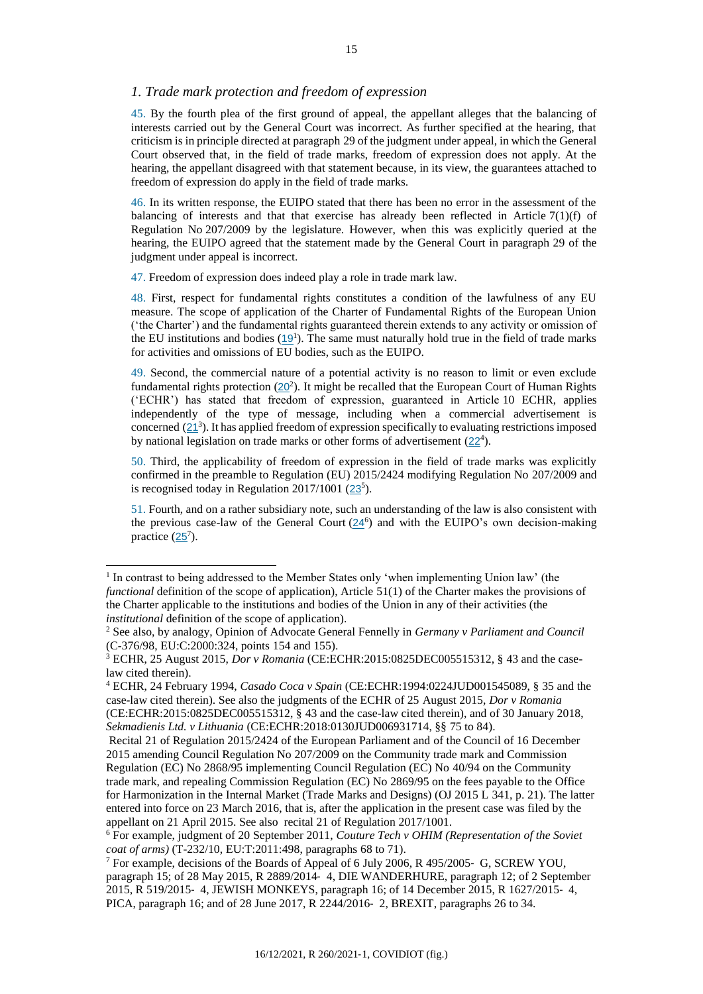### *1. Trade mark protection and freedom of expression*

45. By the fourth plea of the first ground of appeal, the appellant alleges that the balancing of interests carried out by the General Court was incorrect. As further specified at the hearing, that criticism is in principle directed at paragraph 29 of the judgment under appeal, in which the General Court observed that, in the field of trade marks, freedom of expression does not apply. At the hearing, the appellant disagreed with that statement because, in its view, the guarantees attached to freedom of expression do apply in the field of trade marks.

46. In its written response, the EUIPO stated that there has been no error in the assessment of the balancing of interests and that that exercise has already been reflected in Article 7(1)(f) of Regulation No 207/2009 by the legislature. However, when this was explicitly queried at the hearing, the EUIPO agreed that the statement made by the General Court in paragraph 29 of the judgment under appeal is incorrect.

47. Freedom of expression does indeed play a role in trade mark law.

j

48. First, respect for fundamental rights constitutes a condition of the lawfulness of any EU measure. The scope of application of the Charter of Fundamental Rights of the European Union (ʻthe Charter') and the fundamental rights guaranteed therein extends to any activity or omission of the EU institutions and bodies  $(19<sup>1</sup>)$  $(19<sup>1</sup>)$  $(19<sup>1</sup>)$ . The same must naturally hold true in the field of trade marks for activities and omissions of EU bodies, such as the EUIPO.

49. Second, the commercial nature of a potential activity is no reason to limit or even exclude fundamental rights protection  $(20^2)$  $(20^2)$  $(20^2)$ . It might be recalled that the European Court of Human Rights (ʻECHR') has stated that freedom of expression, guaranteed in Article 10 ECHR, applies independently of the type of message, including when a commercial advertisement is concerned  $(21^3)$  $(21^3)$  $(21^3)$ . It has applied freedom of expression specifically to evaluating restrictions imposed by national legislation on trade marks or other forms of advertisement  $(22<sup>4</sup>)$  $(22<sup>4</sup>)$  $(22<sup>4</sup>)$ .

50. Third, the applicability of freedom of expression in the field of trade marks was explicitly confirmed in the preamble to Regulation (EU) 2015/2424 modifying Regulation No 207/2009 and is recognised today in Regulation  $2017/1001$   $(23<sup>5</sup>)$  $(23<sup>5</sup>)$  $(23<sup>5</sup>)$ .

51. Fourth, and on a rather subsidiary note, such an understanding of the law is also consistent with the previous case-law of the General Court  $(24^6)$  $(24^6)$  $(24^6)$  and with the EUIPO's own decision-making practice  $(25^7)$  $(25^7)$  $(25^7)$ .

<sup>&</sup>lt;sup>1</sup> In contrast to being addressed to the Member States only 'when implementing Union law' (the *functional* definition of the scope of application), Article 51(1) of the Charter makes the provisions of the Charter applicable to the institutions and bodies of the Union in any of their activities (the *institutional* definition of the scope of application).

<sup>2</sup> See also, by analogy, Opinion of Advocate General Fennelly in *Germany v Parliament and Council* (C-376/98, EU:C:2000:324, points 154 and 155).

<sup>3</sup> ECHR, 25 August 2015, *Dor v Romania* (CE:ECHR:2015:0825DEC005515312, § 43 and the caselaw cited therein).

<sup>4</sup> ECHR, 24 February 1994, *Casado Coca v Spain* (CE:ECHR:1994:0224JUD001545089, § 35 and the case-law cited therein). See also the judgments of the ECHR of 25 August 2015, *Dor v Romania* (CE:ECHR:2015:0825DEC005515312, § 43 and the case-law cited therein), and of 30 January 2018,

*Sekmadienis Ltd. v Lithuania* (CE:ECHR:2018:0130JUD006931714, §§ 75 to 84). Recital 21 of Regulation 2015/2424 of the European Parliament and of the Council of 16 December

<sup>2015</sup> amending Council Regulation No 207/2009 on the Community trade mark and Commission Regulation (EC) No 2868/95 implementing Council Regulation (EC) No 40/94 on the Community trade mark, and repealing Commission Regulation (EC) No 2869/95 on the fees payable to the Office for Harmonization in the Internal Market (Trade Marks and Designs) (OJ 2015 L 341, p. 21). The latter entered into force on 23 March 2016, that is, after the application in the present case was filed by the appellant on 21 April 2015. See also recital 21 of Regulation 2017/1001.

<sup>6</sup> For example, judgment of 20 September 2011, *Couture Tech v OHIM (Representation of the Soviet coat of arms)* (T-232/10, EU:T:2011:498, paragraphs 68 to 71).

<sup>7</sup> For example, decisions of the Boards of Appeal of 6 July 2006, R 495/2005‑ G, SCREW YOU, paragraph 15; of 28 May 2015, R 2889/2014‑ 4, DIE WANDERHURE, paragraph 12; of 2 September 2015, R 519/2015‑ 4, JEWISH MONKEYS, paragraph 16; of 14 December 2015, R 1627/2015‑ 4, PICA, paragraph 16; and of 28 June 2017, R 2244/2016‑ 2, BREXIT, paragraphs 26 to 34.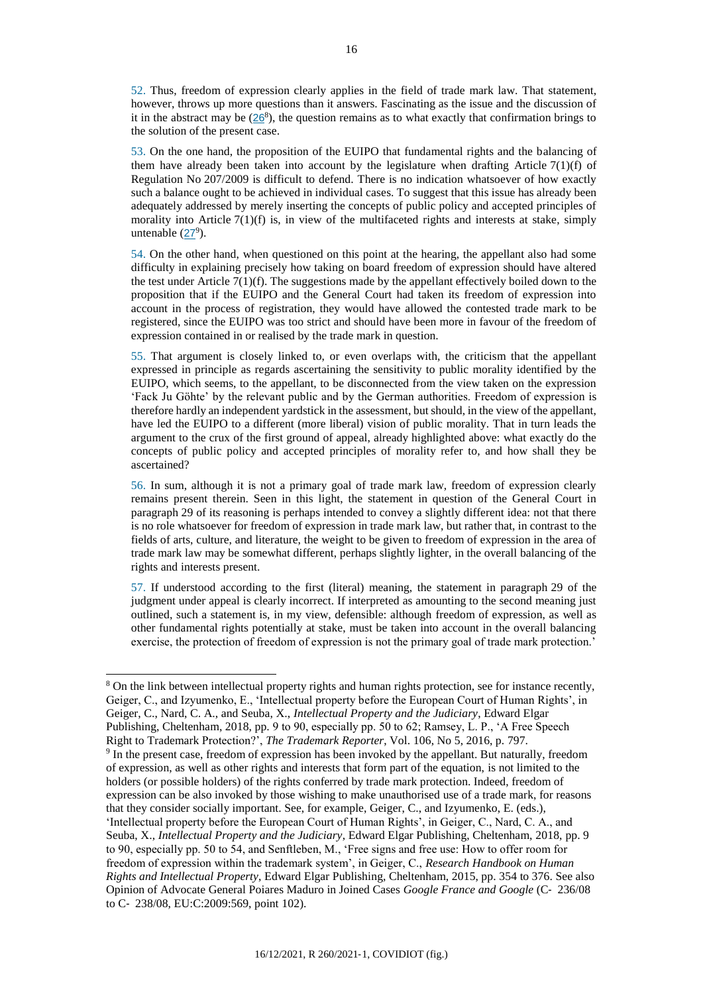52. Thus, freedom of expression clearly applies in the field of trade mark law. That statement, however, throws up more questions than it answers. Fascinating as the issue and the discussion of it in the abstract may be  $(26<sup>8</sup>)$  $(26<sup>8</sup>)$  $(26<sup>8</sup>)$ , the question remains as to what exactly that confirmation brings to the solution of the present case.

53. On the one hand, the proposition of the EUIPO that fundamental rights and the balancing of them have already been taken into account by the legislature when drafting Article  $7(1)(f)$  of Regulation No 207/2009 is difficult to defend. There is no indication whatsoever of how exactly such a balance ought to be achieved in individual cases. To suggest that this issue has already been adequately addressed by merely inserting the concepts of public policy and accepted principles of morality into Article  $7(1)(f)$  is, in view of the multifaceted rights and interests at stake, simply untenable  $(27^9)$  $(27^9)$  $(27^9)$ .

54. On the other hand, when questioned on this point at the hearing, the appellant also had some difficulty in explaining precisely how taking on board freedom of expression should have altered the test under Article  $7(1)(f)$ . The suggestions made by the appellant effectively boiled down to the proposition that if the EUIPO and the General Court had taken its freedom of expression into account in the process of registration, they would have allowed the contested trade mark to be registered, since the EUIPO was too strict and should have been more in favour of the freedom of expression contained in or realised by the trade mark in question.

55. That argument is closely linked to, or even overlaps with, the criticism that the appellant expressed in principle as regards ascertaining the sensitivity to public morality identified by the EUIPO, which seems, to the appellant, to be disconnected from the view taken on the expression 'Fack Ju Göhte' by the relevant public and by the German authorities. Freedom of expression is therefore hardly an independent yardstick in the assessment, but should, in the view of the appellant, have led the EUIPO to a different (more liberal) vision of public morality. That in turn leads the argument to the crux of the first ground of appeal, already highlighted above: what exactly do the concepts of public policy and accepted principles of morality refer to, and how shall they be ascertained?

56. In sum, although it is not a primary goal of trade mark law, freedom of expression clearly remains present therein. Seen in this light, the statement in question of the General Court in paragraph 29 of its reasoning is perhaps intended to convey a slightly different idea: not that there is no role whatsoever for freedom of expression in trade mark law, but rather that, in contrast to the fields of arts, culture, and literature, the weight to be given to freedom of expression in the area of trade mark law may be somewhat different, perhaps slightly lighter, in the overall balancing of the rights and interests present.

57. If understood according to the first (literal) meaning, the statement in paragraph 29 of the judgment under appeal is clearly incorrect. If interpreted as amounting to the second meaning just outlined, such a statement is, in my view, defensible: although freedom of expression, as well as other fundamental rights potentially at stake, must be taken into account in the overall balancing exercise, the protection of freedom of expression is not the primary goal of trade mark protection.'

l

<sup>8</sup> On the link between intellectual property rights and human rights protection, see for instance recently, Geiger, C., and Izyumenko, E., 'Intellectual property before the European Court of Human Rights', in Geiger, C., Nard, C. A., and Seuba, X., *Intellectual Property and the Judiciary*, Edward Elgar Publishing, Cheltenham, 2018, pp. 9 to 90, especially pp. 50 to 62; Ramsey, L. P., 'A Free Speech Right to Trademark Protection?', *The Trademark Reporter*, Vol. 106, No 5, 2016, p. 797.

<sup>9</sup> In the present case, freedom of expression has been invoked by the appellant. But naturally, freedom of expression, as well as other rights and interests that form part of the equation, is not limited to the holders (or possible holders) of the rights conferred by trade mark protection. Indeed, freedom of expression can be also invoked by those wishing to make unauthorised use of a trade mark, for reasons that they consider socially important. See, for example, Geiger, C., and Izyumenko, E. (eds.), 'Intellectual property before the European Court of Human Rights', in Geiger, C., Nard, C. A., and Seuba, X., *Intellectual Property and the Judiciary*, Edward Elgar Publishing, Cheltenham, 2018, pp. 9 to 90, especially pp. 50 to 54, and Senftleben, M., 'Free signs and free use: How to offer room for freedom of expression within the trademark system', in Geiger, C., *Research Handbook on Human Rights and Intellectual Property*, Edward Elgar Publishing, Cheltenham, 2015, pp. 354 to 376. See also Opinion of Advocate General Poiares Maduro in Joined Cases *Google France and Google* (C‑ 236/08 to C‑ 238/08, EU:C:2009:569, point 102).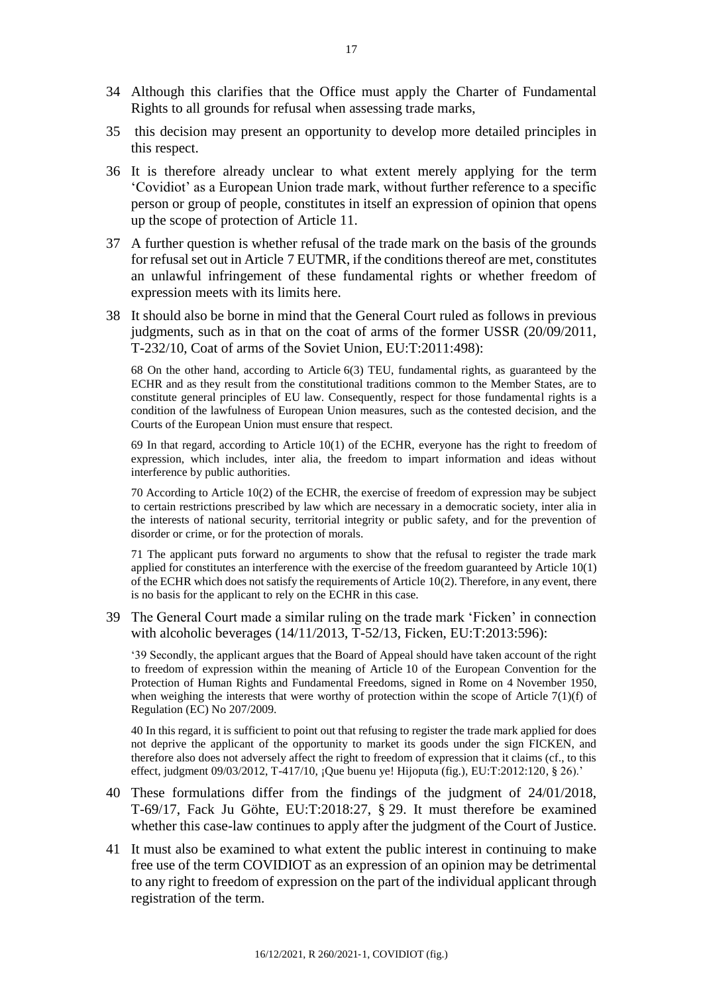- 34 Although this clarifies that the Office must apply the Charter of Fundamental Rights to all grounds for refusal when assessing trade marks,
- 35 this decision may present an opportunity to develop more detailed principles in this respect.
- 36 It is therefore already unclear to what extent merely applying for the term 'Covidiot' as a European Union trade mark, without further reference to a specific person or group of people, constitutes in itself an expression of opinion that opens up the scope of protection of Article 11.
- 37 A further question is whether refusal of the trade mark on the basis of the grounds for refusal set out in Article 7 EUTMR, if the conditions thereof are met, constitutes an unlawful infringement of these fundamental rights or whether freedom of expression meets with its limits here.
- 38 It should also be borne in mind that the General Court ruled as follows in previous judgments, such as in that on the coat of arms of the former USSR (20/09/2011, T-232/10, Coat of arms of the Soviet Union, EU:T:2011:498):

68 On the other hand, according to Article 6(3) TEU, fundamental rights, as guaranteed by the ECHR and as they result from the constitutional traditions common to the Member States, are to constitute general principles of EU law. Consequently, respect for those fundamental rights is a condition of the lawfulness of European Union measures, such as the contested decision, and the Courts of the European Union must ensure that respect.

69 In that regard, according to Article 10(1) of the ECHR, everyone has the right to freedom of expression, which includes, inter alia, the freedom to impart information and ideas without interference by public authorities.

70 According to Article 10(2) of the ECHR, the exercise of freedom of expression may be subject to certain restrictions prescribed by law which are necessary in a democratic society, inter alia in the interests of national security, territorial integrity or public safety, and for the prevention of disorder or crime, or for the protection of morals.

71 The applicant puts forward no arguments to show that the refusal to register the trade mark applied for constitutes an interference with the exercise of the freedom guaranteed by Article 10(1) of the ECHR which does not satisfy the requirements of Article 10(2). Therefore, in any event, there is no basis for the applicant to rely on the ECHR in this case.

39 The General Court made a similar ruling on the trade mark 'Ficken' in connection with alcoholic beverages (14/11/2013, T-52/13, Ficken, EU:T:2013:596):

'39 Secondly, the applicant argues that the Board of Appeal should have taken account of the right to freedom of expression within the meaning of Article 10 of the European Convention for the Protection of Human Rights and Fundamental Freedoms, signed in Rome on 4 November 1950, when weighing the interests that were worthy of protection within the scope of Article 7(1)(f) of Regulation (EC) No 207/2009.

40 In this regard, it is sufficient to point out that refusing to register the trade mark applied for does not deprive the applicant of the opportunity to market its goods under the sign FICKEN, and therefore also does not adversely affect the right to freedom of expression that it claims (cf., to this effect, judgment  $09/03/2012$ , T-417/10, ¿Que buenu ye! Hijoputa (fig.), EU:T:2012:120, § 26).'

- 40 These formulations differ from the findings of the judgment of 24/01/2018, T-69/17, Fack Ju Göhte, EU:T:2018:27, § 29. It must therefore be examined whether this case-law continues to apply after the judgment of the Court of Justice.
- 41 It must also be examined to what extent the public interest in continuing to make free use of the term COVIDIOT as an expression of an opinion may be detrimental to any right to freedom of expression on the part of the individual applicant through registration of the term.